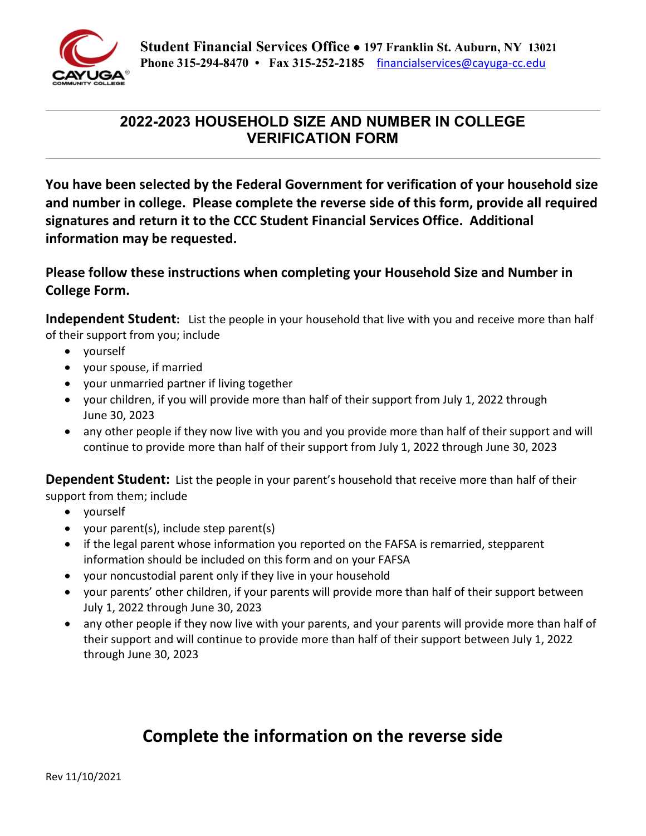

## **2022-2023 HOUSEHOLD SIZE AND NUMBER IN COLLEGE VERIFICATION FORM**

**You have been selected by the Federal Government for verification of your household size and number in college. Please complete the reverse side of this form, provide all required signatures and return it to the CCC Student Financial Services Office. Additional information may be requested.** 

**Please follow these instructions when completing your Household Size and Number in College Form.** 

**Independent Student:** List the people in your household that live with you and receive more than half of their support from you; include

- yourself
- your spouse, if married
- your unmarried partner if living together
- your children, if you will provide more than half of their support from July 1, 2022 through June 30, 2023
- any other people if they now live with you and you provide more than half of their support and will continue to provide more than half of their support from July 1, 2022 through June 30, 2023

**Dependent Student:** List the people in your parent's household that receive more than half of their support from them; include

- yourself
- your parent(s), include step parent(s)
- if the legal parent whose information you reported on the FAFSA is remarried, stepparent information should be included on this form and on your FAFSA
- your noncustodial parent only if they live in your household
- your parents' other children, if your parents will provide more than half of their support between July 1, 2022 through June 30, 2023
- any other people if they now live with your parents, and your parents will provide more than half of their support and will continue to provide more than half of their support between July 1, 2022 through June 30, 2023

## **Complete the information on the reverse side**